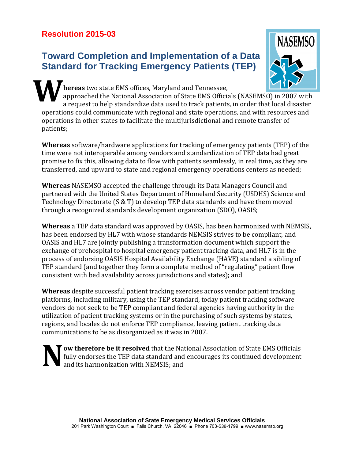## **Resolution 2015-03**

## **Toward Completion and Implementation of a Data Standard for Tracking Emergency Patients (TEP)**



**hereas** two state EMS offices, Maryland and Tennessee, approached the National Association of State EMS Officials (NASEMSO) in 2007 with a request to help standardize data used to track patients, in order that local disaster operations could communicate with regional and state operations, and with resources and operations in other states to facilitate the multijurisdictional and remote transfer of patients; **W**

**Whereas** software/hardware applications for tracking of emergency patients (TEP) of the time were not interoperable among vendors and standardization of TEP data had great promise to fix this, allowing data to flow with patients seamlessly, in real time, as they are transferred, and upward to state and regional emergency operations centers as needed;

**Whereas** NASEMSO accepted the challenge through its Data Managers Council and partnered with the United States Department of Homeland Security (USDHS) Science and Technology Directorate (S & T) to develop TEP data standards and have them moved through a recognized standards development organization (SDO), OASIS;

**Whereas** a TEP data standard was approved by OASIS, has been harmonized with NEMSIS, has been endorsed by HL7 with whose standards NEMSIS strives to be compliant, and OASIS and HL7 are jointly publishing a transformation document which support the exchange of prehospital to hospital emergency patient tracking data, and HL7 is in the process of endorsing OASIS Hospital Availability Exchange (HAVE) standard a sibling of TEP standard (and together they form a complete method of "regulating" patient flow consistent with bed availability across jurisdictions and states); and

**Whereas** despite successful patient tracking exercises across vendor patient tracking platforms, including military, using the TEP standard, today patient tracking software vendors do not seek to be TEP compliant and federal agencies having authority in the utilization of patient tracking systems or in the purchasing of such systems by states, regions, and locales do not enforce TEP compliance, leaving patient tracking data communications to be as disorganized as it was in 2007.

**ow therefore be it resolved** that the National Association of State EMS Officials fully endorses the TEP data standard and encourages its continued development and its harmonization with NEMSIS; and **N**